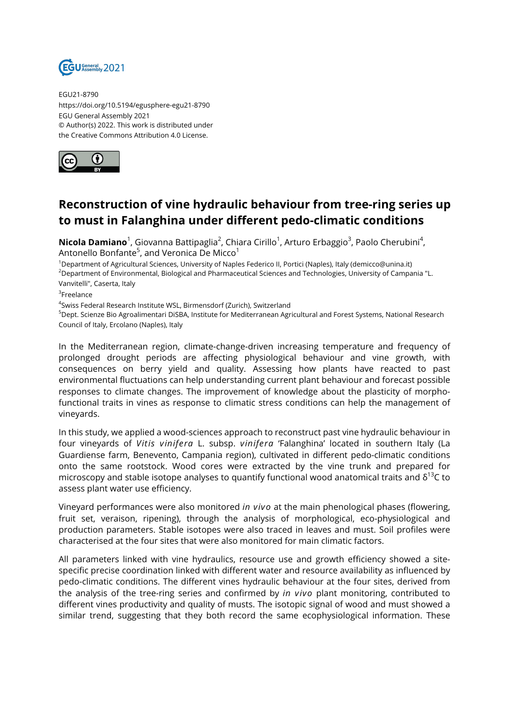

EGU21-8790 https://doi.org/10.5194/egusphere-egu21-8790 EGU General Assembly 2021 © Author(s) 2022. This work is distributed under the Creative Commons Attribution 4.0 License.



## **Reconstruction of vine hydraulic behaviour from tree-ring series up to must in Falanghina under different pedo-climatic conditions**

**Nicola Damiano**<sup>1</sup>, Giovanna Battipaglia<sup>2</sup>, Chiara Cirillo<sup>1</sup>, Arturo Erbaggio<sup>3</sup>, Paolo Cherubini<sup>4</sup>, Antonello Bonfante $^5$ , and Veronica De Micco $^1$ 

<sup>1</sup>Department of Agricultural Sciences, University of Naples Federico II, Portici (Naples), Italy (demicco@unina.it) <sup>2</sup>Department of Environmental, Biological and Pharmaceutical Sciences and Technologies, University of Campania "L. Vanvitelli", Caserta, Italy

 ${}^{3}$ Freelance

4 Swiss Federal Research Institute WSL, Birmensdorf (Zurich), Switzerland

<sup>5</sup>Dept. Scienze Bio Agroalimentari DiSBA, Institute for Mediterranean Agricultural and Forest Systems, National Research Council of Italy, Ercolano (Naples), Italy

In the Mediterranean region, climate-change-driven increasing temperature and frequency of prolonged drought periods are affecting physiological behaviour and vine growth, with consequences on berry yield and quality. Assessing how plants have reacted to past environmental fluctuations can help understanding current plant behaviour and forecast possible responses to climate changes. The improvement of knowledge about the plasticity of morphofunctional traits in vines as response to climatic stress conditions can help the management of vineyards.

In this study, we applied a wood-sciences approach to reconstruct past vine hydraulic behaviour in four vineyards of *Vitis vinifera* L. subsp. *vinifera* 'Falanghina' located in southern Italy (La Guardiense farm, Benevento, Campania region), cultivated in different pedo-climatic conditions onto the same rootstock. Wood cores were extracted by the vine trunk and prepared for microscopy and stable isotope analyses to quantify functional wood anatomical traits and  $\delta^{13}$ C to assess plant water use efficiency.

Vineyard performances were also monitored *in vivo* at the main phenological phases (flowering, fruit set, veraison, ripening), through the analysis of morphological, eco-physiological and production parameters. Stable isotopes were also traced in leaves and must. Soil profiles were characterised at the four sites that were also monitored for main climatic factors.

All parameters linked with vine hydraulics, resource use and growth efficiency showed a sitespecific precise coordination linked with different water and resource availability as influenced by pedo-climatic conditions. The different vines hydraulic behaviour at the four sites, derived from the analysis of the tree-ring series and confirmed by *in vivo* plant monitoring, contributed to different vines productivity and quality of musts. The isotopic signal of wood and must showed a similar trend, suggesting that they both record the same ecophysiological information. These